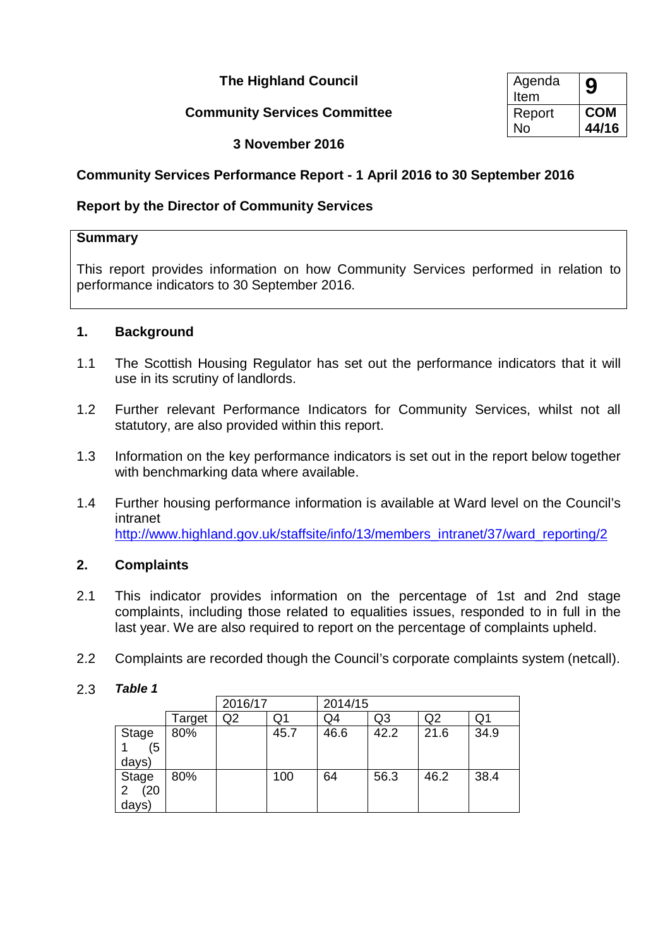**The Highland Council** 

## **Community Services Committee**

| Agenda<br>Item | 9          |
|----------------|------------|
| Report         | <b>COM</b> |
| No             | 44/16      |

**3 November 2016**

## **Community Services Performance Report - 1 April 2016 to 30 September 2016**

## **Report by the Director of Community Services**

#### **Summary**

This report provides information on how Community Services performed in relation to performance indicators to 30 September 2016.

## **1. Background**

- 1.1 The Scottish Housing Regulator has set out the performance indicators that it will use in its scrutiny of landlords.
- 1.2 Further relevant Performance Indicators for Community Services, whilst not all statutory, are also provided within this report.
- 1.3 Information on the key performance indicators is set out in the report below together with benchmarking data where available.
- 1.4 Further housing performance information is available at Ward level on the Council's intranet [http://www.highland.gov.uk/staffsite/info/13/members\\_intranet/37/ward\\_reporting/2](http://www.highland.gov.uk/staffsite/info/13/members_intranet/37/ward_reporting/2)

## **2. Complaints**

- 2.1 This indicator provides information on the percentage of 1st and 2nd stage complaints, including those related to equalities issues, responded to in full in the last year. We are also required to report on the percentage of complaints upheld.
- 2.2 Complaints are recorded though the Council's corporate complaints system (netcall).

## 2.3 *Table 1*

|                                          |        | 2016/17 |      | 2014/15 |                |                |      |
|------------------------------------------|--------|---------|------|---------|----------------|----------------|------|
|                                          | Target | Q2      | Q1   | Q4      | Q <sub>3</sub> | Q <sub>2</sub> | Q1   |
| Stage<br>(5<br>days)                     | 80%    |         | 45.7 | 46.6    | 42.2           | 21.6           | 34.9 |
| Stage<br>(20)<br>$\overline{2}$<br>days) | 80%    |         | 100  | 64      | 56.3           | 46.2           | 38.4 |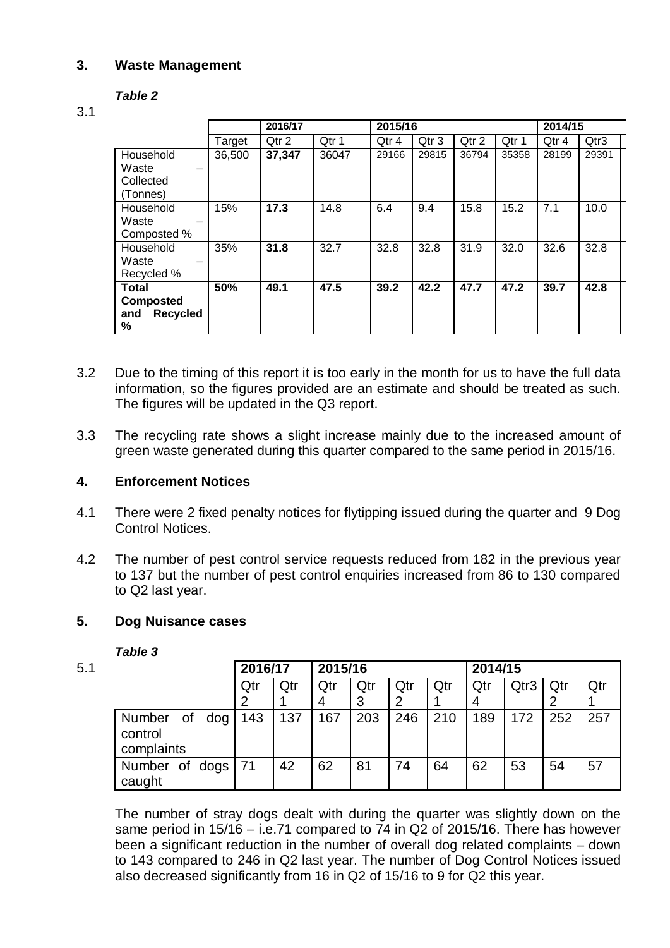### **3. Waste Management**

### *Table 2*

#### 3.1

|                                   |        | 2016/17 |       | 2015/16 |       |       |       | 2014/15 |       |
|-----------------------------------|--------|---------|-------|---------|-------|-------|-------|---------|-------|
|                                   | Target | Qtr 2   | Qtr 1 | Qtr 4   | Qtr 3 | Qtr 2 | Qtr 1 | Qtr 4   | Qtr3  |
| Household                         | 36,500 | 37,347  | 36047 | 29166   | 29815 | 36794 | 35358 | 28199   | 29391 |
| Waste<br>$\overline{\phantom{0}}$ |        |         |       |         |       |       |       |         |       |
| Collected                         |        |         |       |         |       |       |       |         |       |
| (Tonnes)                          |        |         |       |         |       |       |       |         |       |
| Household                         | 15%    | 17.3    | 14.8  | 6.4     | 9.4   | 15.8  | 15.2  | 7.1     | 10.0  |
| Waste                             |        |         |       |         |       |       |       |         |       |
| Composted %                       |        |         |       |         |       |       |       |         |       |
| Household                         | 35%    | 31.8    | 32.7  | 32.8    | 32.8  | 31.9  | 32.0  | 32.6    | 32.8  |
| Waste                             |        |         |       |         |       |       |       |         |       |
| Recycled %                        |        |         |       |         |       |       |       |         |       |
| <b>Total</b>                      | 50%    | 49.1    | 47.5  | 39.2    | 42.2  | 47.7  | 47.2  | 39.7    | 42.8  |
| <b>Composted</b>                  |        |         |       |         |       |       |       |         |       |
| Recycled<br>and                   |        |         |       |         |       |       |       |         |       |
| %                                 |        |         |       |         |       |       |       |         |       |

- 3.2 Due to the timing of this report it is too early in the month for us to have the full data information, so the figures provided are an estimate and should be treated as such. The figures will be updated in the Q3 report.
- 3.3 The recycling rate shows a slight increase mainly due to the increased amount of green waste generated during this quarter compared to the same period in 2015/16.

#### **4. Enforcement Notices**

- 4.1 There were 2 fixed penalty notices for flytipping issued during the quarter and 9 Dog Control Notices.
- 4.2 The number of pest control service requests reduced from 182 in the previous year to 137 but the number of pest control enquiries increased from 86 to 130 compared to Q2 last year.

#### **5. Dog Nuisance cases**

#### *Table 3*

| 5.1 |                                              | 2016/17 |     | 2015/16 |     |     |     | 2014/15 |      |     |     |
|-----|----------------------------------------------|---------|-----|---------|-----|-----|-----|---------|------|-----|-----|
|     |                                              | Qtr     | Qtr | Qtr     | Qtr | Qtr | Qtr | Qtr     | Qtr3 | Qtr | Qtr |
|     |                                              |         |     | 4       | 3   | 2   |     | 4       |      |     |     |
|     | dog<br>of<br>Number<br>control<br>complaints | 143     | 137 | 167     | 203 | 246 | 210 | 189     | 172  | 252 | 257 |
|     | Number of dogs<br>caught                     | 71      | 42  | 62      | 81  | 74  | 64  | 62      | 53   | 54  | 57  |

The number of stray dogs dealt with during the quarter was slightly down on the same period in 15/16 – i.e.71 compared to 74 in Q2 of 2015/16. There has however been a significant reduction in the number of overall dog related complaints – down to 143 compared to 246 in Q2 last year. The number of Dog Control Notices issued also decreased significantly from 16 in Q2 of 15/16 to 9 for Q2 this year.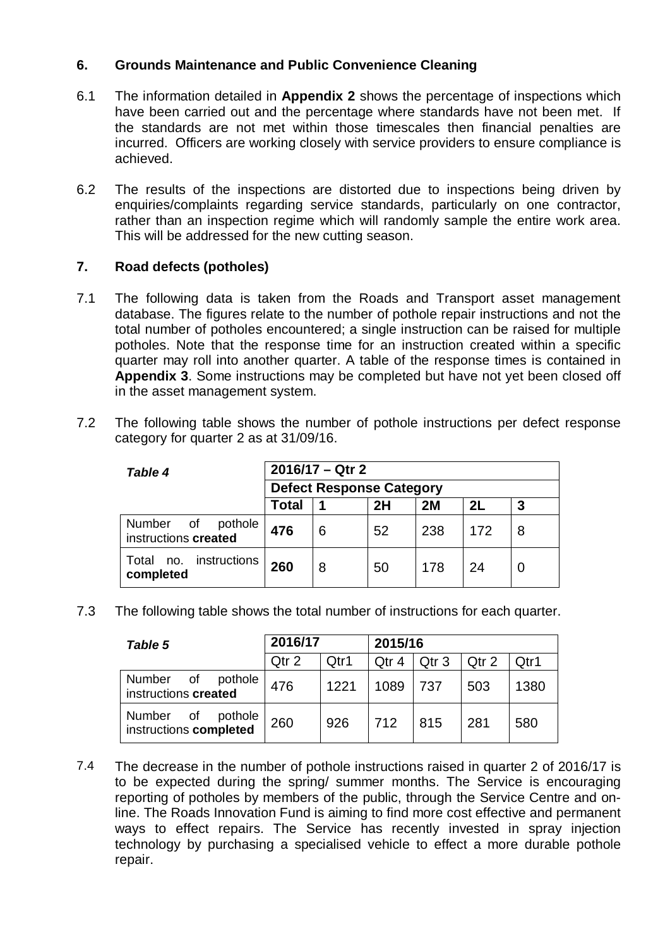## **6. Grounds Maintenance and Public Convenience Cleaning**

- 6.1 The information detailed in **Appendix 2** shows the percentage of inspections which have been carried out and the percentage where standards have not been met. If the standards are not met within those timescales then financial penalties are incurred. Officers are working closely with service providers to ensure compliance is achieved.
- 6.2 The results of the inspections are distorted due to inspections being driven by enquiries/complaints regarding service standards, particularly on one contractor, rather than an inspection regime which will randomly sample the entire work area. This will be addressed for the new cutting season.

### **7. Road defects (potholes)**

- 7.1 The following data is taken from the Roads and Transport asset management database. The figures relate to the number of pothole repair instructions and not the total number of potholes encountered; a single instruction can be raised for multiple potholes. Note that the response time for an instruction created within a specific quarter may roll into another quarter. A table of the response times is contained in **Appendix 3**. Some instructions may be completed but have not yet been closed off in the asset management system.
- 7.2 The following table shows the number of pothole instructions per defect response category for quarter 2 as at 31/09/16.

| <b>Table 4</b>                               | 2016/17 - Qtr 2                 |   |    |    |    |   |  |  |
|----------------------------------------------|---------------------------------|---|----|----|----|---|--|--|
|                                              | <b>Defect Response Category</b> |   |    |    |    |   |  |  |
|                                              | Total                           | 1 | 2H | 2M | 2L | 3 |  |  |
| Number of<br>pothole<br>instructions created | 476<br>238<br>52<br>172<br>6    |   |    |    |    | 8 |  |  |
| no. instructions<br>Total<br>completed       | 260<br>24<br>178<br>50<br>8     |   |    |    |    |   |  |  |

7.3 The following table shows the total number of instructions for each quarter.

| Table 5                                           | 2016/17 |      | 2015/16 |                  |       |      |
|---------------------------------------------------|---------|------|---------|------------------|-------|------|
|                                                   | Qtr 2   | Qtr1 | Qtr 4   | Qtr <sub>3</sub> | Qtr 2 | Qtr1 |
| Number<br>pothole<br>0f<br>instructions created   | 476     | 1221 | 1089    | 737              | 503   | 1380 |
| Number<br>pothole<br>0f<br>instructions completed | 260     | 926  | 712     | 815              | 281   | 580  |

7.4 The decrease in the number of pothole instructions raised in quarter 2 of 2016/17 is to be expected during the spring/ summer months. The Service is encouraging reporting of potholes by members of the public, through the Service Centre and online. The Roads Innovation Fund is aiming to find more cost effective and permanent ways to effect repairs. The Service has recently invested in spray injection technology by purchasing a specialised vehicle to effect a more durable pothole repair.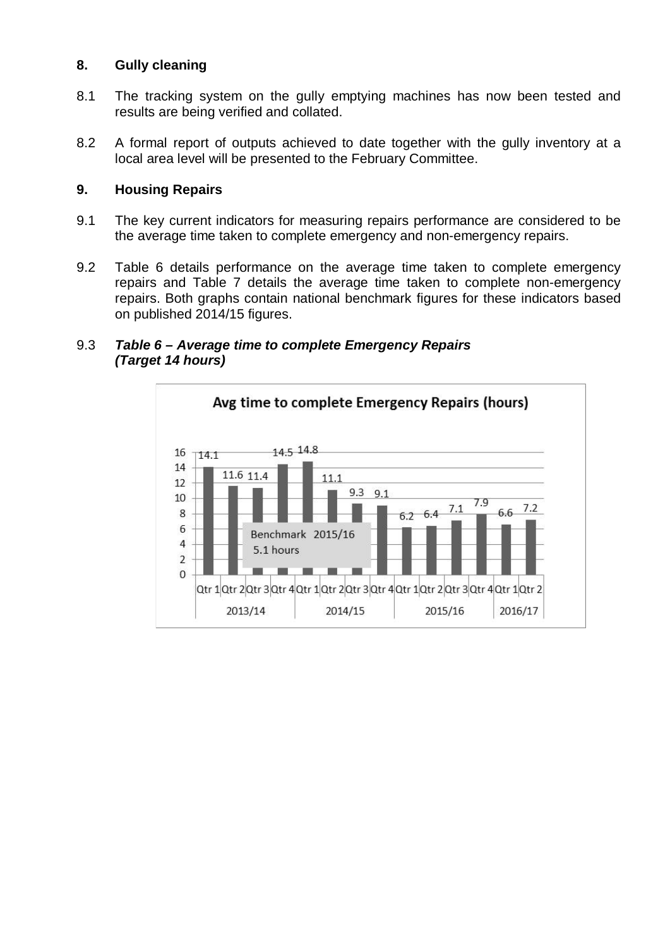### **8. Gully cleaning**

- 8.1 The tracking system on the gully emptying machines has now been tested and results are being verified and collated.
- 8.2 A formal report of outputs achieved to date together with the gully inventory at a local area level will be presented to the February Committee.

### **9. Housing Repairs**

- 9.1 The key current indicators for measuring repairs performance are considered to be the average time taken to complete emergency and non-emergency repairs.
- 9.2 Table 6 details performance on the average time taken to complete emergency repairs and Table 7 details the average time taken to complete non-emergency repairs. Both graphs contain national benchmark figures for these indicators based on published 2014/15 figures.



#### 9.3 *Table 6 – Average time to complete Emergency Repairs (Target 14 hours)*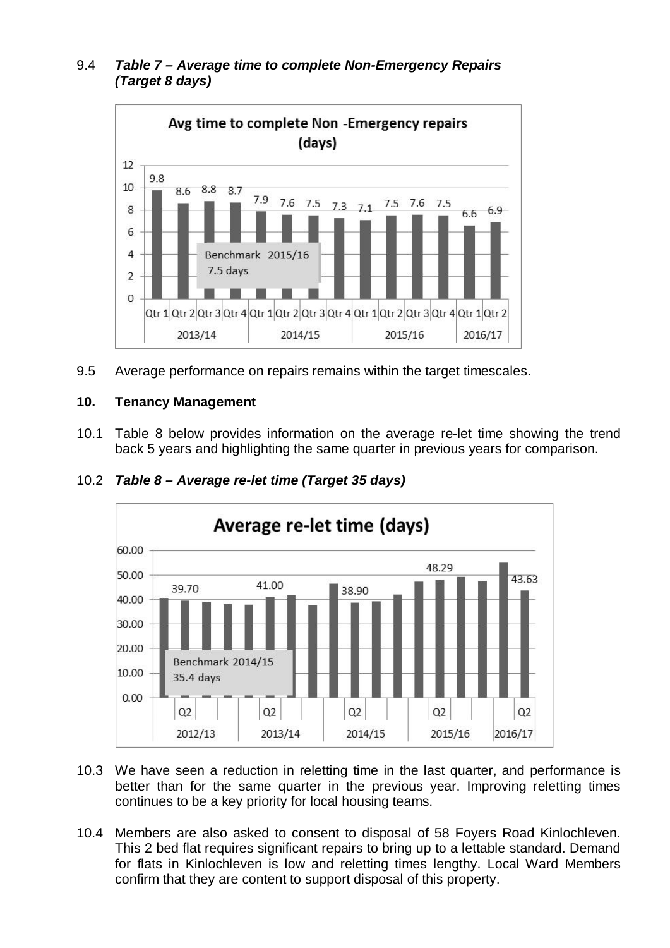## 9.4 *Table 7 – Average time to complete Non-Emergency Repairs (Target 8 days)*



9.5 Average performance on repairs remains within the target timescales.

## **10. Tenancy Management**

10.1 Table 8 below provides information on the average re-let time showing the trend back 5 years and highlighting the same quarter in previous years for comparison.



## 10.2 *Table 8 – Average re-let time (Target 35 days)*

- 10.3 We have seen a reduction in reletting time in the last quarter, and performance is better than for the same quarter in the previous year. Improving reletting times continues to be a key priority for local housing teams.
- 10.4 Members are also asked to consent to disposal of 58 Foyers Road Kinlochleven. This 2 bed flat requires significant repairs to bring up to a lettable standard. Demand for flats in Kinlochleven is low and reletting times lengthy. Local Ward Members confirm that they are content to support disposal of this property.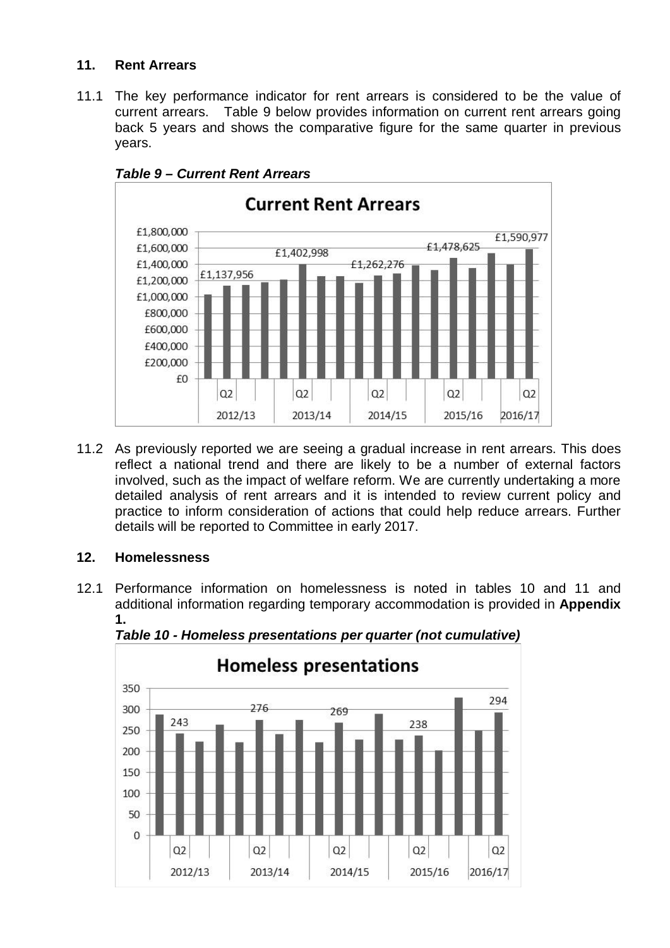## **11. Rent Arrears**

11.1 The key performance indicator for rent arrears is considered to be the value of current arrears. Table 9 below provides information on current rent arrears going back 5 years and shows the comparative figure for the same quarter in previous years.



*Table 9 – Current Rent Arrears*

11.2 As previously reported we are seeing a gradual increase in rent arrears. This does reflect a national trend and there are likely to be a number of external factors involved, such as the impact of welfare reform. We are currently undertaking a more detailed analysis of rent arrears and it is intended to review current policy and practice to inform consideration of actions that could help reduce arrears. Further details will be reported to Committee in early 2017.

## **12. Homelessness**

12.1 Performance information on homelessness is noted in tables 10 and 11 and additional information regarding temporary accommodation is provided in **Appendix 1.**



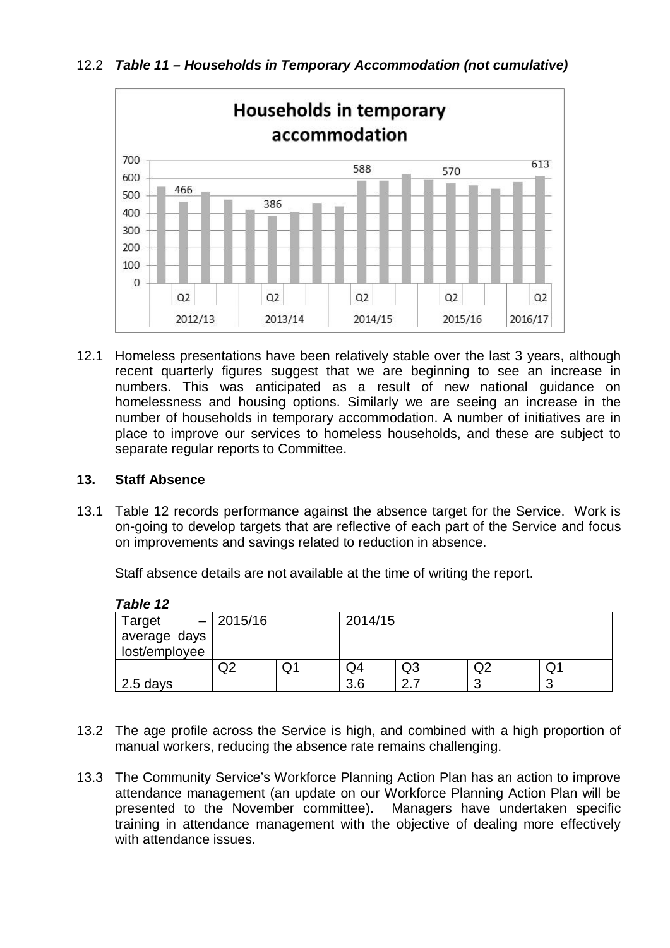12.2 *Table 11 – Households in Temporary Accommodation (not cumulative)*



12.1 Homeless presentations have been relatively stable over the last 3 years, although recent quarterly figures suggest that we are beginning to see an increase in numbers. This was anticipated as a result of new national guidance on homelessness and housing options. Similarly we are seeing an increase in the number of households in temporary accommodation. A number of initiatives are in place to improve our services to homeless households, and these are subject to separate regular reports to Committee.

#### **13. Staff Absence**

13.1 Table 12 records performance against the absence target for the Service. Work is on-going to develop targets that are reflective of each part of the Service and focus on improvements and savings related to reduction in absence.

Staff absence details are not available at the time of writing the report.

*Table 12*

| .             |             |    |         |    |        |    |  |  |
|---------------|-------------|----|---------|----|--------|----|--|--|
| Target        | $- 2015/16$ |    | 2014/15 |    |        |    |  |  |
| average days  |             |    |         |    |        |    |  |  |
| lost/employee |             |    |         |    |        |    |  |  |
|               |             | Q. | Q4      | Q3 |        | 7ب |  |  |
| 2.5 days      |             |    | 3.6     | n  | r<br>u |    |  |  |

- 13.2 The age profile across the Service is high, and combined with a high proportion of manual workers, reducing the absence rate remains challenging.
- 13.3 The Community Service's Workforce Planning Action Plan has an action to improve attendance management (an update on our Workforce Planning Action Plan will be presented to the November committee). Managers have undertaken specific training in attendance management with the objective of dealing more effectively with attendance issues.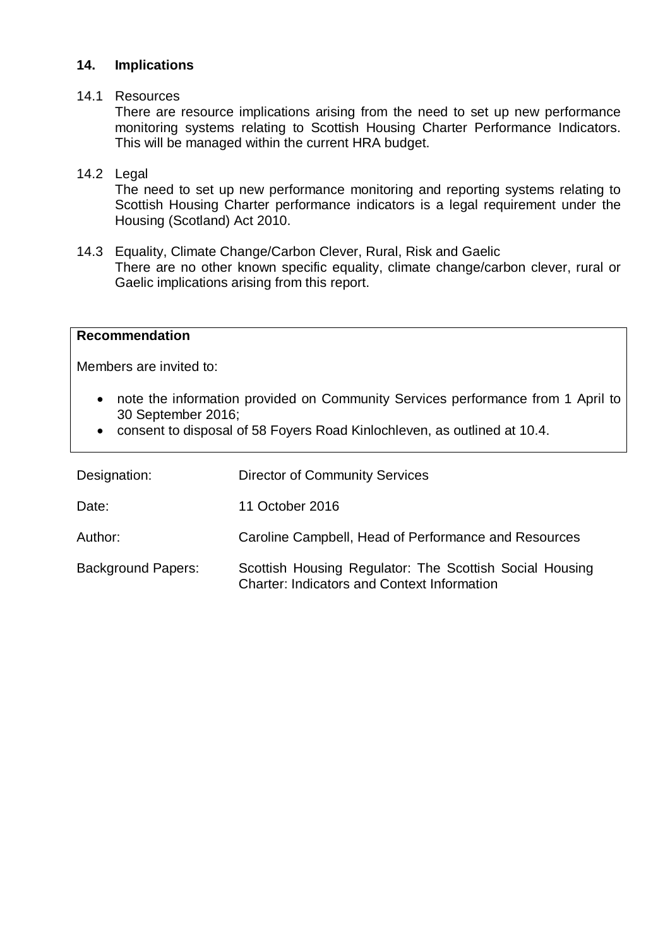#### **14. Implications**

#### 14.1 Resources

There are resource implications arising from the need to set up new performance monitoring systems relating to Scottish Housing Charter Performance Indicators. This will be managed within the current HRA budget.

#### 14.2 Legal

The need to set up new performance monitoring and reporting systems relating to Scottish Housing Charter performance indicators is a legal requirement under the Housing (Scotland) Act 2010.

14.3 Equality, Climate Change/Carbon Clever, Rural, Risk and Gaelic There are no other known specific equality, climate change/carbon clever, rural or Gaelic implications arising from this report.

#### **Recommendation**

Members are invited to:

- note the information provided on Community Services performance from 1 April to 30 September 2016;
- consent to disposal of 58 Foyers Road Kinlochleven, as outlined at 10.4.

| Designation:              | <b>Director of Community Services</b>                                                                         |
|---------------------------|---------------------------------------------------------------------------------------------------------------|
| Date:                     | 11 October 2016                                                                                               |
| Author:                   | Caroline Campbell, Head of Performance and Resources                                                          |
| <b>Background Papers:</b> | Scottish Housing Regulator: The Scottish Social Housing<br><b>Charter: Indicators and Context Information</b> |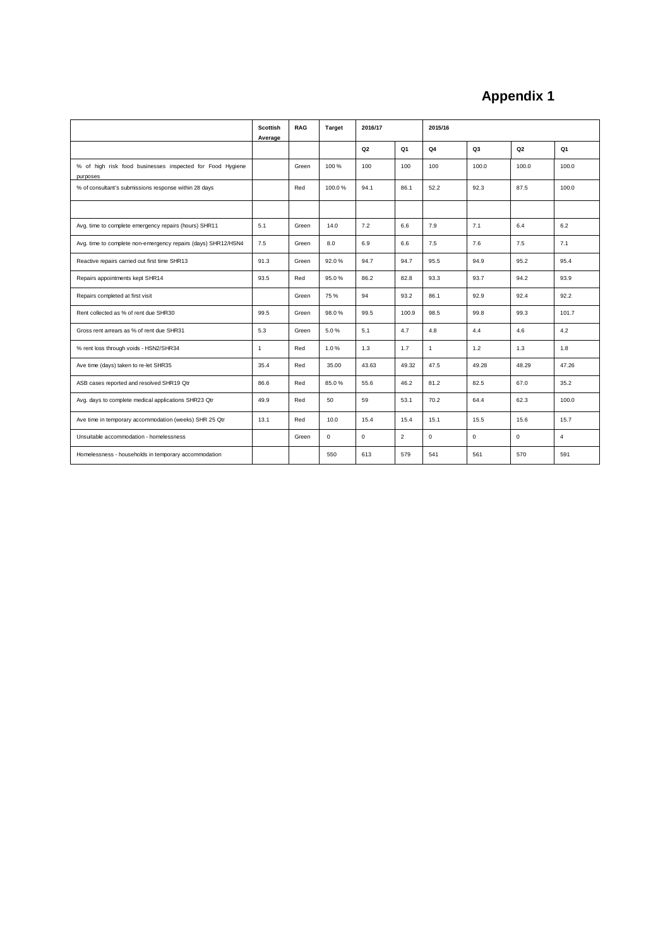## **Appendix 1**

|                                                                       | <b>Scottish</b><br>Average | <b>RAG</b> | <b>Target</b> | 2016/17        |                | 2015/16      |             |                |                |
|-----------------------------------------------------------------------|----------------------------|------------|---------------|----------------|----------------|--------------|-------------|----------------|----------------|
|                                                                       |                            |            |               | Q <sub>2</sub> | Q1             | Q4           | Q3          | Q <sub>2</sub> | Q1             |
| % of high risk food businesses inspected for Food Hygiene<br>purposes |                            | Green      | 100 %         | 100            | 100            | 100          | 100.0       | 100.0          | 100.0          |
| % of consultant's submissions response within 28 days                 |                            | Red        | 100.0%        | 94.1           | 86.1           | 52.2         | 92.3        | 87.5           | 100.0          |
|                                                                       |                            |            |               |                |                |              |             |                |                |
| Avg. time to complete emergency repairs (hours) SHR11                 | 5.1                        | Green      | 14.0          | 7.2            | 6.6            | 7.9          | 7.1         | 6.4            | 6.2            |
| Avg. time to complete non-emergency repairs (days) SHR12/HSN4         | 7.5                        | Green      | 8.0           | 6.9            | 6.6            | 7.5          | 7.6         | 7.5            | 7.1            |
| Reactive repairs carried out first time SHR13                         | 91.3                       | Green      | 92.0%         | 94.7           | 94.7           | 95.5         | 94.9        | 95.2           | 95.4           |
| Repairs appointments kept SHR14                                       | 93.5                       | Red        | 95.0%         | 86.2           | 82.8           | 93.3         | 93.7        | 94.2           | 93.9           |
| Repairs completed at first visit                                      |                            | Green      | 75%           | 94             | 93.2           | 86.1         | 92.9        | 92.4           | 92.2           |
| Rent collected as % of rent due SHR30                                 | 99.5                       | Green      | 98.0%         | 99.5           | 100.9          | 98.5         | 99.8        | 99.3           | 101.7          |
| Gross rent arrears as % of rent due SHR31                             | 5.3                        | Green      | 5.0%          | 5.1            | 4.7            | 4.8          | 4.4         | 4.6            | 4.2            |
| % rent loss through voids - HSN2/SHR34                                | $\mathbf{1}$               | Red        | 1.0%          | 1.3            | 1.7            | $\mathbf{1}$ | 1.2         | 1.3            | 1.8            |
| Ave time (days) taken to re-let SHR35                                 | 35.4                       | Red        | 35.00         | 43.63          | 49.32          | 47.5         | 49.28       | 48.29          | 47.26          |
| ASB cases reported and resolved SHR19 Qtr                             | 86.6                       | Red        | 85.0%         | 55.6           | 46.2           | 81.2         | 82.5        | 67.0           | 35.2           |
| Avg. days to complete medical applications SHR23 Qtr                  | 49.9                       | Red        | 50            | 59             | 53.1           | 70.2         | 64.4        | 62.3           | 100.0          |
| Ave time in temporary accommodation (weeks) SHR 25 Qtr                | 13.1                       | Red        | 10.0          | 15.4           | 15.4           | 15.1         | 15.5        | 15.6           | 15.7           |
| Unsuitable accommodation - homelessness                               |                            | Green      | $\Omega$      | $\Omega$       | $\overline{2}$ | $\Omega$     | $\mathbf 0$ | $\Omega$       | $\overline{4}$ |
| Homelessness - households in temporary accommodation                  |                            |            | 550           | 613            | 579            | 541          | 561         | 570            | 591            |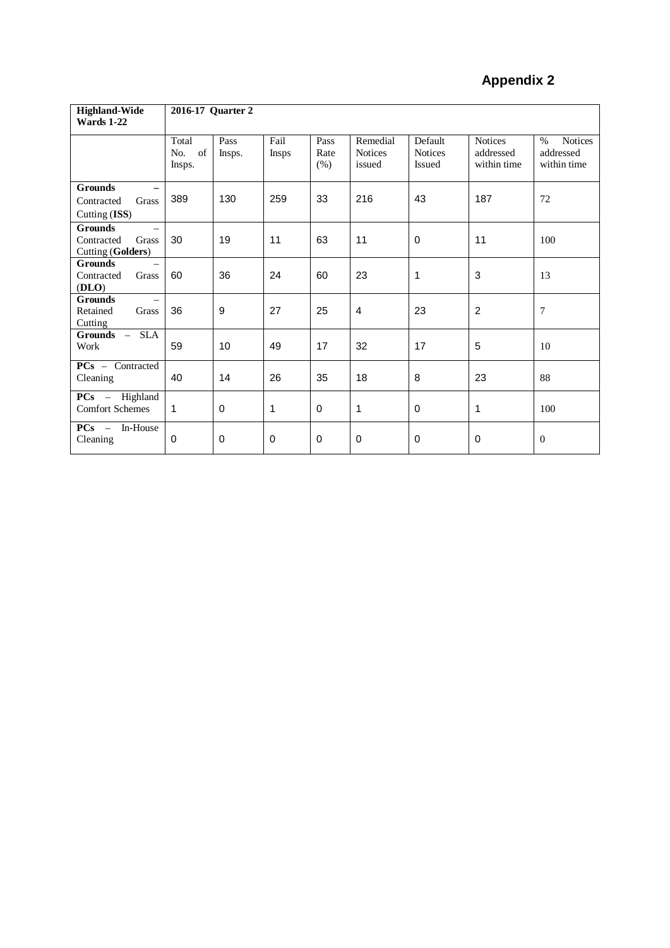# **Appendix 2**

| <b>Highland-Wide</b>                                                          | 2016-17 Quarter 2         |                |                      |                      |                                      |                                            |                                            |                                                    |
|-------------------------------------------------------------------------------|---------------------------|----------------|----------------------|----------------------|--------------------------------------|--------------------------------------------|--------------------------------------------|----------------------------------------------------|
| <b>Wards 1-22</b>                                                             |                           |                |                      |                      |                                      |                                            |                                            |                                                    |
|                                                                               | Total<br>No. of<br>Insps. | Pass<br>Insps. | Fail<br><b>Insps</b> | Pass<br>Rate<br>(% ) | Remedial<br><b>Notices</b><br>issued | Default<br><b>Notices</b><br><b>Issued</b> | <b>Notices</b><br>addressed<br>within time | <b>Notices</b><br>$\%$<br>addressed<br>within time |
| <b>Grounds</b><br>Grass<br>Contracted<br>Cutting (ISS)                        | 389                       | 130            | 259                  | 33                   | 216                                  | 43                                         | 187                                        | 72                                                 |
| <b>Grounds</b><br>$\equiv$<br>Contracted<br>Grass<br><b>Cutting (Golders)</b> | 30                        | 19             | 11                   | 63                   | 11                                   | 0                                          | 11                                         | 100                                                |
| <b>Grounds</b><br>Contracted<br>Grass<br>(DLO)                                | 60                        | 36             | 24                   | 60                   | 23                                   | 1                                          | 3                                          | 13                                                 |
| <b>Grounds</b><br>Retained<br>Grass<br>Cutting                                | 36                        | 9              | 27                   | 25                   | 4                                    | 23                                         | 2                                          | $\overline{7}$                                     |
| $Grounds -$<br><b>SLA</b><br>Work                                             | 59                        | 10             | 49                   | 17                   | 32                                   | 17                                         | 5                                          | 10                                                 |
| $PCs - Contracted$<br>Cleaning                                                | 40                        | 14             | 26                   | 35                   | 18                                   | 8                                          | 23                                         | 88                                                 |
| $PCs$ – Highland<br><b>Comfort Schemes</b>                                    | $\mathbf{1}$              | $\Omega$       | 1                    | $\Omega$             | 1                                    | $\mathbf 0$                                | 1                                          | 100                                                |
| $PCs -$<br>In-House<br>Cleaning                                               | 0                         | 0              | 0                    | 0                    | 0                                    | 0                                          | 0                                          | $\overline{0}$                                     |